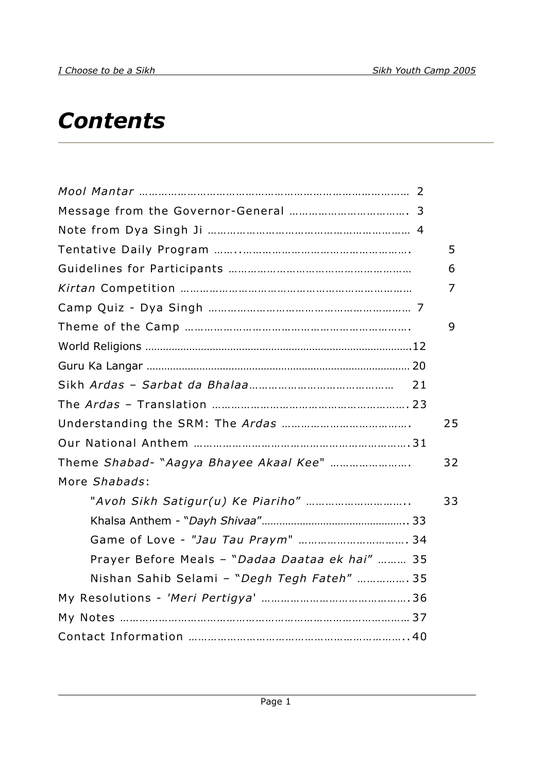## *Contents*

|                                                 | 5  |
|-------------------------------------------------|----|
|                                                 | 6  |
|                                                 | 7  |
|                                                 |    |
|                                                 | 9  |
|                                                 |    |
|                                                 |    |
| 21                                              |    |
|                                                 |    |
|                                                 | 25 |
|                                                 |    |
|                                                 | 32 |
| More Shabads:                                   |    |
|                                                 | 33 |
|                                                 |    |
|                                                 |    |
| Prayer Before Meals - "Dadaa Daataa ek hai"  35 |    |
| Nishan Sahib Selami - "Degh Tegh Fateh"  35     |    |
|                                                 |    |
|                                                 |    |
|                                                 |    |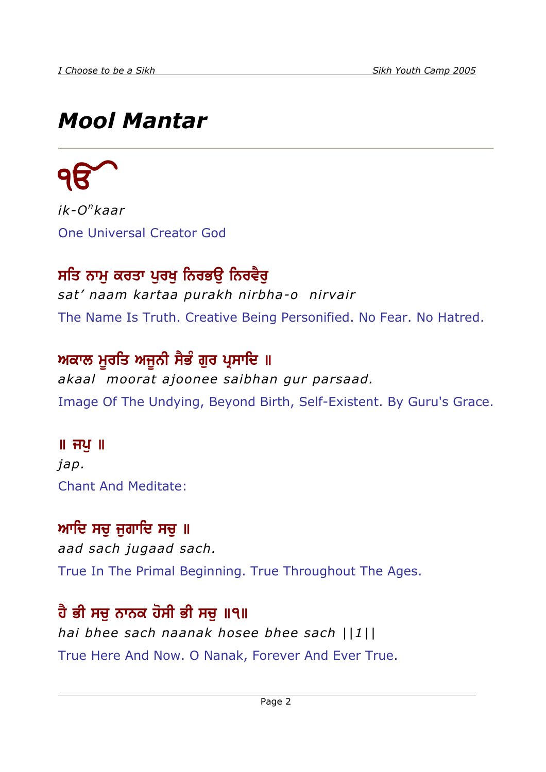# *Mool Mantar*

 $\overline{\mathsf{dR}}$ 

*ik-Onkaar*  One Universal Creator God

### ਸਤਿ ਨਾਮ ਕਰਤਾ ਪਰਖ ਨਿਰਭੳ ਨਿਰਵੈਰ

*sat' naam kartaa purakh nirbha-o nirvair*  The Name Is Truth. Creative Being Personified. No Fear. No Hatred.

### ਅਕਾਲ ਮੁਰਤਿ ਅਜੁਨੀ ਸੈਭੰ ਗੁਰ ਪ੍ਰਸਾਦਿ ॥

*akaal moorat ajoonee saibhan gur parsaad.*  Image Of The Undying, Beyond Birth, Self-Existent. By Guru's Grace.

 $\parallel$  ਜ $\vert$   $\parallel$ *jap.*  Chant And Meditate:

l

ਆਦਿ ਸਚੁ ਜੁਗਾਦਿ ਸਚੁ ॥ *aad sach jugaad sach.*  True In The Primal Beginning. True Throughout The Ages.

ਹੈ ਭੀ ਸਚੁ ਨਾਨਕ ਹੋਸੀ ਭੀ ਸਚੁ ॥੧॥ *hai bhee sach naanak hosee bhee sach ||1||*  True Here And Now. O Nanak, Forever And Ever True.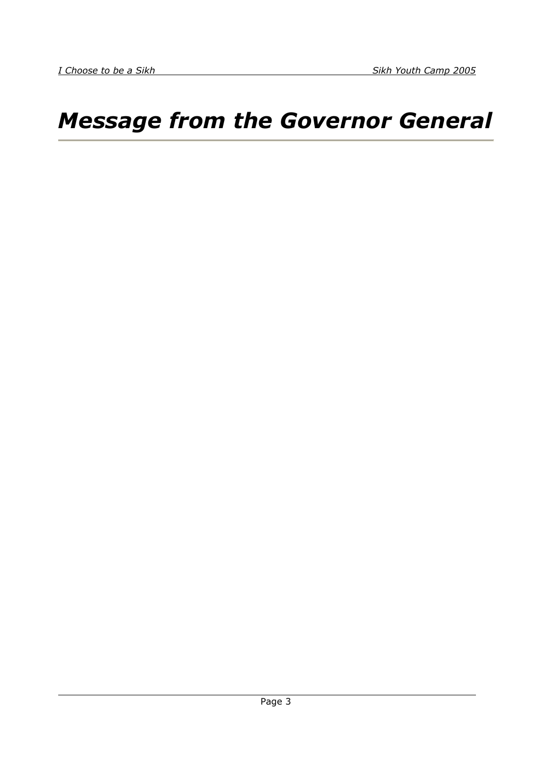### *Message from the Governor General*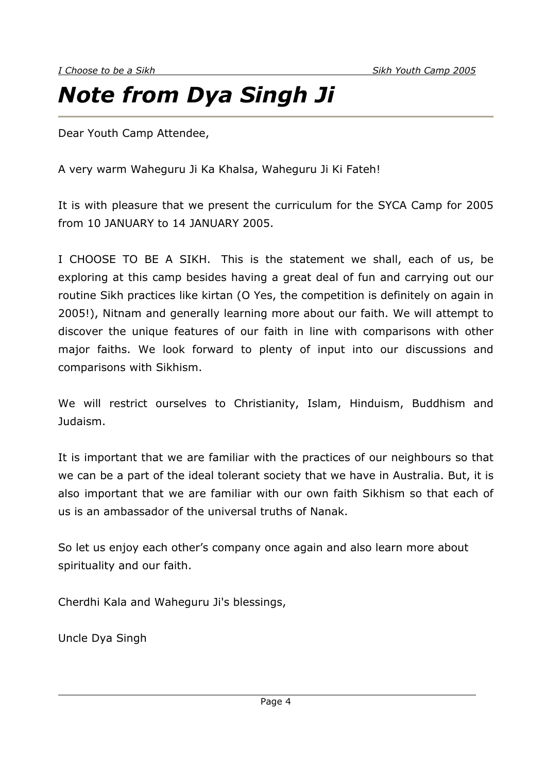# *Note from Dya Singh Ji*

Dear Youth Camp Attendee,

A very warm Waheguru Ji Ka Khalsa, Waheguru Ji Ki Fateh!

It is with pleasure that we present the curriculum for the SYCA Camp for 2005 from 10 JANUARY to 14 JANUARY 2005.

I CHOOSE TO BE A SIKH. This is the statement we shall, each of us, be exploring at this camp besides having a great deal of fun and carrying out our routine Sikh practices like kirtan (O Yes, the competition is definitely on again in 2005!), Nitnam and generally learning more about our faith. We will attempt to discover the unique features of our faith in line with comparisons with other major faiths. We look forward to plenty of input into our discussions and comparisons with Sikhism.

We will restrict ourselves to Christianity, Islam, Hinduism, Buddhism and Judaism.

It is important that we are familiar with the practices of our neighbours so that we can be a part of the ideal tolerant society that we have in Australia. But, it is also important that we are familiar with our own faith Sikhism so that each of us is an ambassador of the universal truths of Nanak.

So let us enjoy each other's company once again and also learn more about spirituality and our faith.

Cherdhi Kala and Waheguru Ji's blessings,

Uncle Dya Singh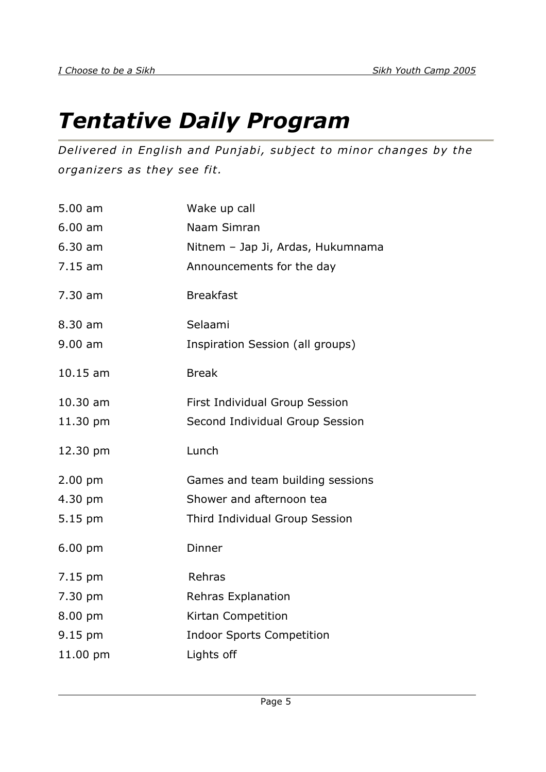## *Tentative Daily Program*

*Delivered in English and Punjabi, subject to minor changes by the organizers as they see fit.* 

| 5.00 am   | Wake up call                          |
|-----------|---------------------------------------|
| $6.00$ am | Naam Simran                           |
| $6.30$ am | Nitnem - Jap Ji, Ardas, Hukumnama     |
| 7.15 am   | Announcements for the day             |
| 7.30 am   | <b>Breakfast</b>                      |
| 8.30 am   | Selaami                               |
| $9.00$ am | Inspiration Session (all groups)      |
| 10.15 am  | <b>Break</b>                          |
| 10.30 am  | <b>First Individual Group Session</b> |
| 11.30 pm  | Second Individual Group Session       |
| 12.30 pm  | Lunch                                 |
| $2.00$ pm | Games and team building sessions      |
|           |                                       |
| 4.30 pm   | Shower and afternoon tea              |
| 5.15 pm   | Third Individual Group Session        |
| 6.00 pm   | Dinner                                |
| 7.15 pm   | Rehras                                |
| 7.30 pm   | Rehras Explanation                    |
| 8.00 pm   | Kirtan Competition                    |
| 9.15 pm   | <b>Indoor Sports Competition</b>      |
| 11.00 pm  | Lights off                            |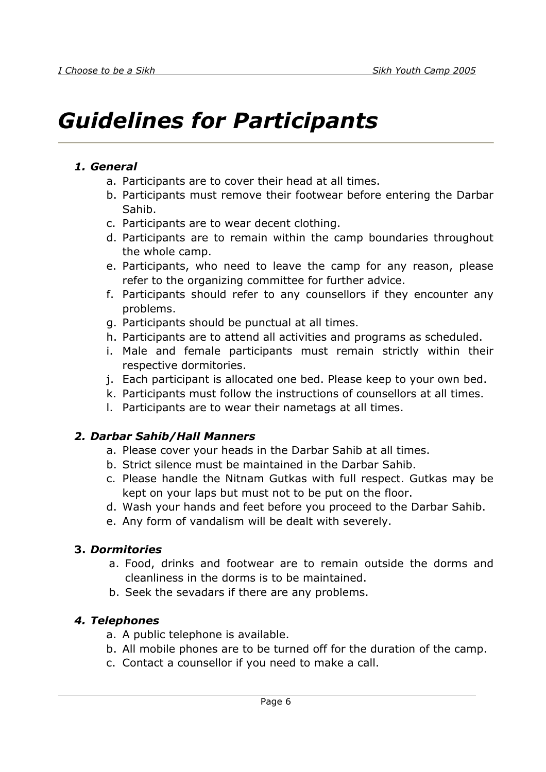# *Guidelines for Participants*

#### *1. General*

- a. Participants are to cover their head at all times.
- b. Participants must remove their footwear before entering the Darbar Sahib.
- c. Participants are to wear decent clothing.
- d. Participants are to remain within the camp boundaries throughout the whole camp.
- e. Participants, who need to leave the camp for any reason, please refer to the organizing committee for further advice.
- f. Participants should refer to any counsellors if they encounter any problems.
- g. Participants should be punctual at all times.
- h. Participants are to attend all activities and programs as scheduled.
- i. Male and female participants must remain strictly within their respective dormitories.
- j. Each participant is allocated one bed. Please keep to your own bed.
- k. Participants must follow the instructions of counsellors at all times.
- l. Participants are to wear their nametags at all times.

#### *2. Darbar Sahib/Hall Manners*

- a. Please cover your heads in the Darbar Sahib at all times.
- b. Strict silence must be maintained in the Darbar Sahib.
- c. Please handle the Nitnam Gutkas with full respect. Gutkas may be kept on your laps but must not to be put on the floor.
- d. Wash your hands and feet before you proceed to the Darbar Sahib.
- e. Any form of vandalism will be dealt with severely.

#### **3.** *Dormitories*

- a. Food, drinks and footwear are to remain outside the dorms and cleanliness in the dorms is to be maintained.
- b. Seek the sevadars if there are any problems.

#### *4. Telephones*

- a. A public telephone is available.
- b. All mobile phones are to be turned off for the duration of the camp.
- c. Contact a counsellor if you need to make a call.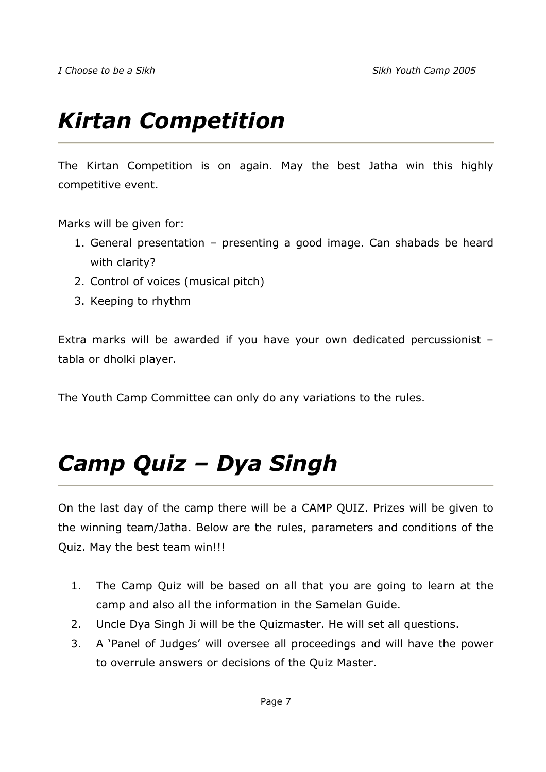# *Kirtan Competition*

The Kirtan Competition is on again. May the best Jatha win this highly competitive event.

Marks will be given for:

- 1. General presentation presenting a good image. Can shabads be heard with clarity?
- 2. Control of voices (musical pitch)
- 3. Keeping to rhythm

l

Extra marks will be awarded if you have your own dedicated percussionist – tabla or dholki player.

The Youth Camp Committee can only do any variations to the rules.

# *Camp Quiz – Dya Singh*

On the last day of the camp there will be a CAMP QUIZ. Prizes will be given to the winning team/Jatha. Below are the rules, parameters and conditions of the Quiz. May the best team win!!!

- 1. The Camp Quiz will be based on all that you are going to learn at the camp and also all the information in the Samelan Guide.
- 2. Uncle Dya Singh Ji will be the Quizmaster. He will set all questions.
- 3. A 'Panel of Judges' will oversee all proceedings and will have the power to overrule answers or decisions of the Quiz Master.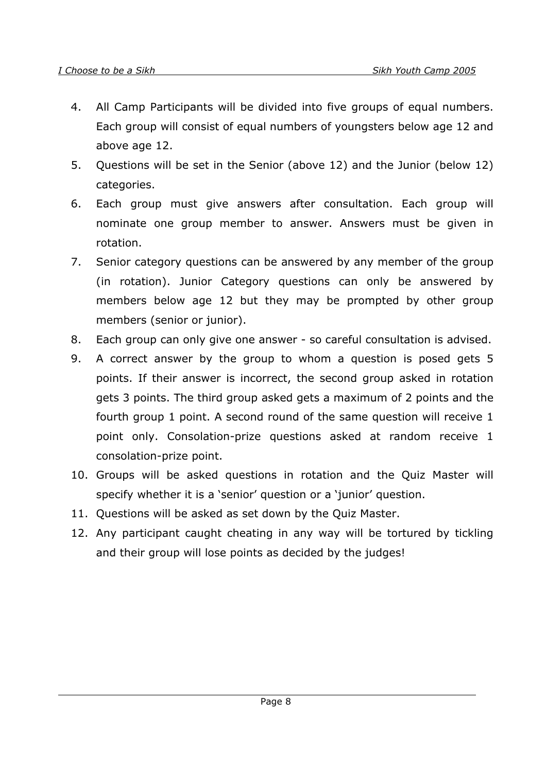- 4. All Camp Participants will be divided into five groups of equal numbers. Each group will consist of equal numbers of youngsters below age 12 and above age 12.
- 5. Questions will be set in the Senior (above 12) and the Junior (below 12) categories.
- 6. Each group must give answers after consultation. Each group will nominate one group member to answer. Answers must be given in rotation.
- 7. Senior category questions can be answered by any member of the group (in rotation). Junior Category questions can only be answered by members below age 12 but they may be prompted by other group members (senior or junior).
- 8. Each group can only give one answer so careful consultation is advised.
- 9. A correct answer by the group to whom a question is posed gets 5 points. If their answer is incorrect, the second group asked in rotation gets 3 points. The third group asked gets a maximum of 2 points and the fourth group 1 point. A second round of the same question will receive 1 point only. Consolation-prize questions asked at random receive 1 consolation-prize point.
- 10. Groups will be asked questions in rotation and the Quiz Master will specify whether it is a 'senior' question or a 'junior' question.
- 11. Questions will be asked as set down by the Quiz Master.
- 12. Any participant caught cheating in any way will be tortured by tickling and their group will lose points as decided by the judges!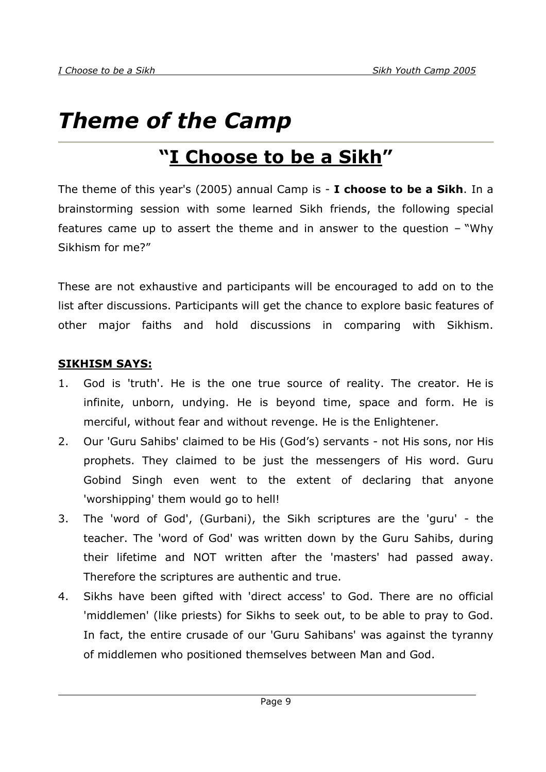# *Theme of the Camp*

### **"I Choose to be a Sikh"**

The theme of this year's (2005) annual Camp is - **I choose to be a Sikh**. In a brainstorming session with some learned Sikh friends, the following special features came up to assert the theme and in answer to the question – "Why Sikhism for me?"

These are not exhaustive and participants will be encouraged to add on to the list after discussions. Participants will get the chance to explore basic features of other major faiths and hold discussions in comparing with Sikhism.

#### **SIKHISM SAYS:**

- 1. God is 'truth'. He is the one true source of reality. The creator. He is infinite, unborn, undying. He is beyond time, space and form. He is merciful, without fear and without revenge. He is the Enlightener.
- 2. Our 'Guru Sahibs' claimed to be His (God's) servants not His sons, nor His prophets. They claimed to be just the messengers of His word. Guru Gobind Singh even went to the extent of declaring that anyone 'worshipping' them would go to hell!
- 3. The 'word of God', (Gurbani), the Sikh scriptures are the 'guru' the teacher. The 'word of God' was written down by the Guru Sahibs, during their lifetime and NOT written after the 'masters' had passed away. Therefore the scriptures are authentic and true.
- 4. Sikhs have been gifted with 'direct access' to God. There are no official 'middlemen' (like priests) for Sikhs to seek out, to be able to pray to God. In fact, the entire crusade of our 'Guru Sahibans' was against the tyranny of middlemen who positioned themselves between Man and God.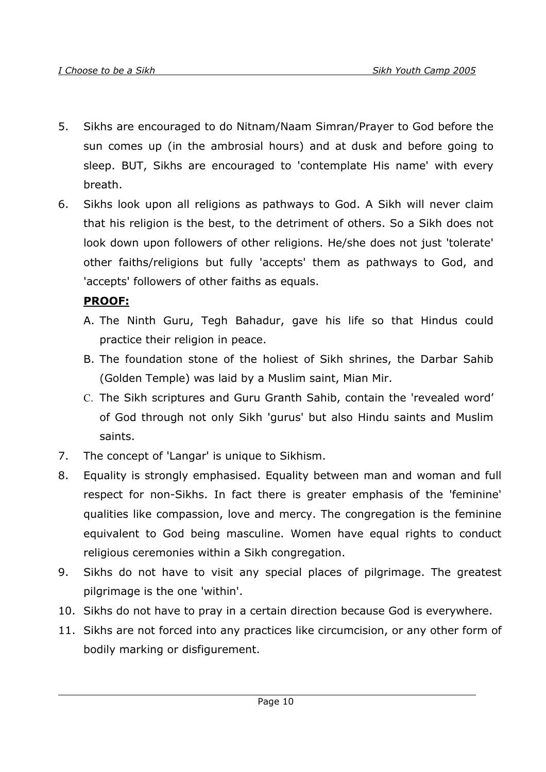- 5. Sikhs are encouraged to do Nitnam/Naam Simran/Prayer to God before the sun comes up (in the ambrosial hours) and at dusk and before going to sleep. BUT, Sikhs are encouraged to 'contemplate His name' with every breath.
- 6. Sikhs look upon all religions as pathways to God. A Sikh will never claim that his religion is the best, to the detriment of others. So a Sikh does not look down upon followers of other religions. He/she does not just 'tolerate' other faiths/religions but fully 'accepts' them as pathways to God, and 'accepts' followers of other faiths as equals.

#### **PROOF:**

- A. The Ninth Guru, Tegh Bahadur, gave his life so that Hindus could practice their religion in peace.
- B. The foundation stone of the holiest of Sikh shrines, the Darbar Sahib (Golden Temple) was laid by a Muslim saint, Mian Mir.
- C. The Sikh scriptures and Guru Granth Sahib, contain the 'revealed word' of God through not only Sikh 'gurus' but also Hindu saints and Muslim saints.
- 7. The concept of 'Langar' is unique to Sikhism.
- 8. Equality is strongly emphasised. Equality between man and woman and full respect for non-Sikhs. In fact there is greater emphasis of the 'feminine' qualities like compassion, love and mercy. The congregation is the feminine equivalent to God being masculine. Women have equal rights to conduct religious ceremonies within a Sikh congregation.
- 9. Sikhs do not have to visit any special places of pilgrimage. The greatest pilgrimage is the one 'within'.
- 10. Sikhs do not have to pray in a certain direction because God is everywhere.
- 11. Sikhs are not forced into any practices like circumcision, or any other form of bodily marking or disfigurement.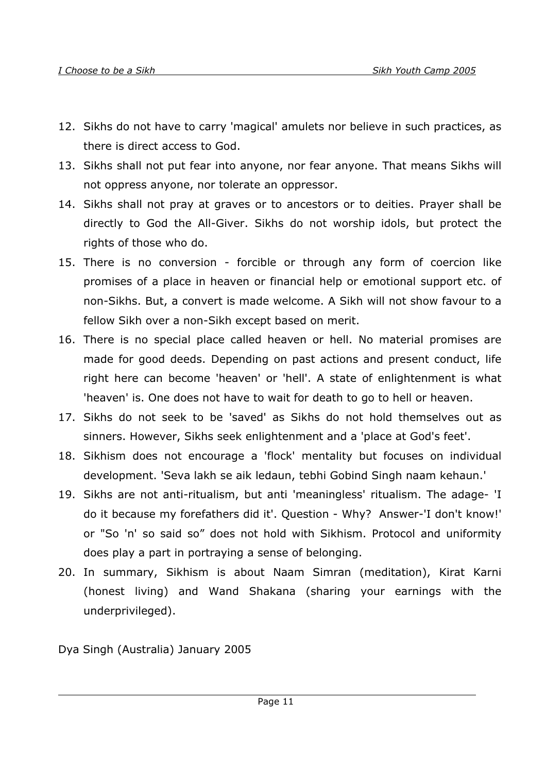- 12. Sikhs do not have to carry 'magical' amulets nor believe in such practices, as there is direct access to God.
- 13. Sikhs shall not put fear into anyone, nor fear anyone. That means Sikhs will not oppress anyone, nor tolerate an oppressor.
- 14. Sikhs shall not pray at graves or to ancestors or to deities. Prayer shall be directly to God the All-Giver. Sikhs do not worship idols, but protect the rights of those who do.
- 15. There is no conversion forcible or through any form of coercion like promises of a place in heaven or financial help or emotional support etc. of non-Sikhs. But, a convert is made welcome. A Sikh will not show favour to a fellow Sikh over a non-Sikh except based on merit.
- 16. There is no special place called heaven or hell. No material promises are made for good deeds. Depending on past actions and present conduct, life right here can become 'heaven' or 'hell'. A state of enlightenment is what 'heaven' is. One does not have to wait for death to go to hell or heaven.
- 17. Sikhs do not seek to be 'saved' as Sikhs do not hold themselves out as sinners. However, Sikhs seek enlightenment and a 'place at God's feet'.
- 18. Sikhism does not encourage a 'flock' mentality but focuses on individual development. 'Seva lakh se aik ledaun, tebhi Gobind Singh naam kehaun.'
- 19. Sikhs are not anti-ritualism, but anti 'meaningless' ritualism. The adage- 'I do it because my forefathers did it'. Question - Why? Answer-'I don't know!' or "So 'n' so said so" does not hold with Sikhism. Protocol and uniformity does play a part in portraying a sense of belonging.
- 20. In summary, Sikhism is about Naam Simran (meditation), Kirat Karni (honest living) and Wand Shakana (sharing your earnings with the underprivileged).

Dya Singh (Australia) January 2005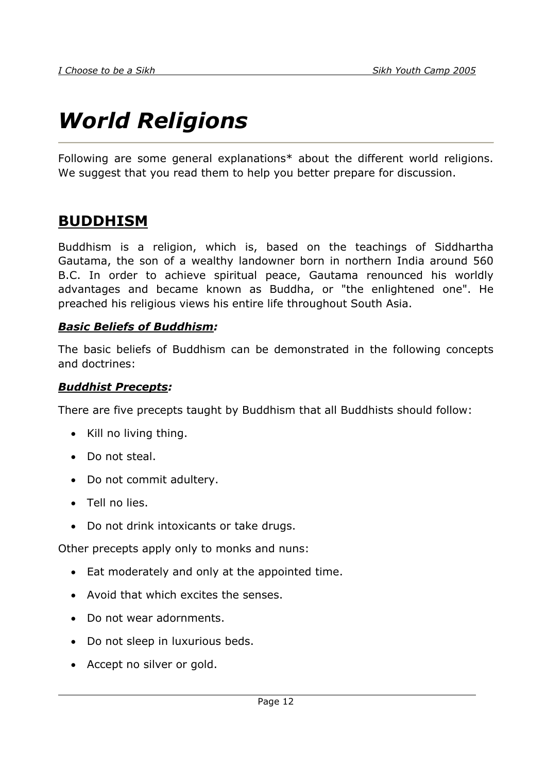# *World Religions*

Following are some general explanations\* about the different world religions. We suggest that you read them to help you better prepare for discussion.

### **BUDDHISM**

Buddhism is a religion, which is, based on the teachings of Siddhartha Gautama, the son of a wealthy landowner born in northern India around 560 B.C. In order to achieve spiritual peace, Gautama renounced his worldly advantages and became known as Buddha, or "the enlightened one". He preached his religious views his entire life throughout South Asia.

#### *Basic Beliefs of Buddhism:*

The basic beliefs of Buddhism can be demonstrated in the following concepts and doctrines:

#### *Buddhist Precepts:*

There are five precepts taught by Buddhism that all Buddhists should follow:

- Kill no living thing.
- Do not steal.
- Do not commit adultery.
- Tell no lies.

l

• Do not drink intoxicants or take drugs.

Other precepts apply only to monks and nuns:

- Eat moderately and only at the appointed time.
- Avoid that which excites the senses.
- Do not wear adornments.
- Do not sleep in luxurious beds.
- Accept no silver or gold.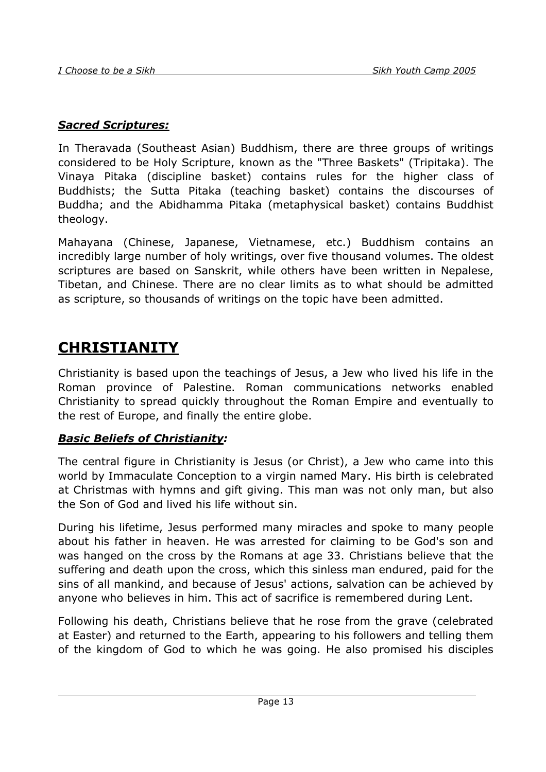#### *Sacred Scriptures:*

In Theravada (Southeast Asian) Buddhism, there are three groups of writings considered to be Holy Scripture, known as the "Three Baskets" (Tripitaka). The Vinaya Pitaka (discipline basket) contains rules for the higher class of Buddhists; the Sutta Pitaka (teaching basket) contains the discourses of Buddha; and the Abidhamma Pitaka (metaphysical basket) contains Buddhist theology.

Mahayana (Chinese, Japanese, Vietnamese, etc.) Buddhism contains an incredibly large number of holy writings, over five thousand volumes. The oldest scriptures are based on Sanskrit, while others have been written in Nepalese, Tibetan, and Chinese. There are no clear limits as to what should be admitted as scripture, so thousands of writings on the topic have been admitted.

### **CHRISTIANITY**

l

Christianity is based upon the teachings of Jesus, a Jew who lived his life in the Roman province of Palestine. Roman communications networks enabled Christianity to spread quickly throughout the Roman Empire and eventually to the rest of Europe, and finally the entire globe.

#### *Basic Beliefs of Christianity:*

The central figure in Christianity is Jesus (or Christ), a Jew who came into this world by Immaculate Conception to a virgin named Mary. His birth is celebrated at Christmas with hymns and gift giving. This man was not only man, but also the Son of God and lived his life without sin.

During his lifetime, Jesus performed many miracles and spoke to many people about his father in heaven. He was arrested for claiming to be God's son and was hanged on the cross by the Romans at age 33. Christians believe that the suffering and death upon the cross, which this sinless man endured, paid for the sins of all mankind, and because of Jesus' actions, salvation can be achieved by anyone who believes in him. This act of sacrifice is remembered during Lent.

Following his death, Christians believe that he rose from the grave (celebrated at Easter) and returned to the Earth, appearing to his followers and telling them of the kingdom of God to which he was going. He also promised his disciples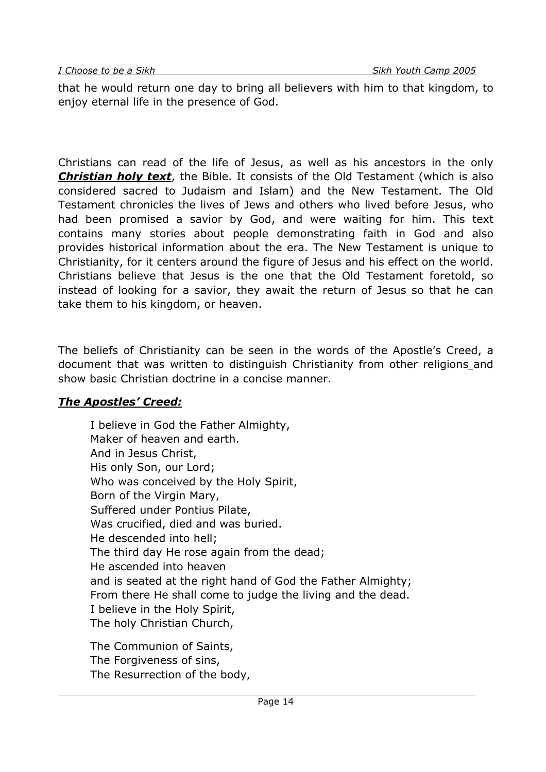that he would return one day to bring all believers with him to that kingdom, to enjoy eternal life in the presence of God.

Christians can read of the life of Jesus, as well as his ancestors in the only *Christian holy text*, the Bible. It consists of the Old Testament (which is also considered sacred to Judaism and Islam) and the New Testament. The Old Testament chronicles the lives of Jews and others who lived before Jesus, who had been promised a savior by God, and were waiting for him. This text contains many stories about people demonstrating faith in God and also provides historical information about the era. The New Testament is unique to Christianity, for it centers around the figure of Jesus and his effect on the world. Christians believe that Jesus is the one that the Old Testament foretold, so instead of looking for a savior, they await the return of Jesus so that he can take them to his kingdom, or heaven.

The beliefs of Christianity can be seen in the words of the Apostle's Creed, a document that was written to distinguish Christianity from other religions and show basic Christian doctrine in a concise manner.

#### *The Apostles' Creed:*

l

I believe in God the Father Almighty, Maker of heaven and earth. And in Jesus Christ, His only Son, our Lord; Who was conceived by the Holy Spirit, Born of the Virgin Mary, Suffered under Pontius Pilate, Was crucified, died and was buried. He descended into hell; The third day He rose again from the dead; He ascended into heaven and is seated at the right hand of God the Father Almighty; From there He shall come to judge the living and the dead. I believe in the Holy Spirit, The holy Christian Church,

The Communion of Saints, The Forgiveness of sins, The Resurrection of the body,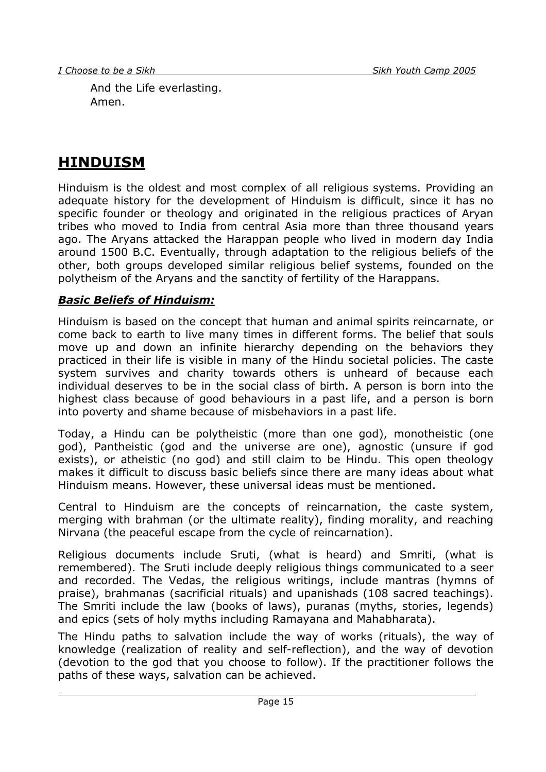And the Life everlasting. Amen.

### **HINDUISM**

l

Hinduism is the oldest and most complex of all religious systems. Providing an adequate history for the development of Hinduism is difficult, since it has no specific founder or theology and originated in the religious practices of Aryan tribes who moved to India from central Asia more than three thousand years ago. The Aryans attacked the Harappan people who lived in modern day India around 1500 B.C. Eventually, through adaptation to the religious beliefs of the other, both groups developed similar religious belief systems, founded on the polytheism of the Aryans and the sanctity of fertility of the Harappans.

#### *Basic Beliefs of Hinduism:*

Hinduism is based on the concept that human and animal spirits reincarnate, or come back to earth to live many times in different forms. The belief that souls move up and down an infinite hierarchy depending on the behaviors they practiced in their life is visible in many of the Hindu societal policies. The caste system survives and charity towards others is unheard of because each individual deserves to be in the social class of birth. A person is born into the highest class because of good behaviours in a past life, and a person is born into poverty and shame because of misbehaviors in a past life.

Today, a Hindu can be polytheistic (more than one god), monotheistic (one god), Pantheistic (god and the universe are one), agnostic (unsure if god exists), or atheistic (no god) and still claim to be Hindu. This open theology makes it difficult to discuss basic beliefs since there are many ideas about what Hinduism means. However, these universal ideas must be mentioned.

Central to Hinduism are the concepts of reincarnation, the caste system, merging with brahman (or the ultimate reality), finding morality, and reaching Nirvana (the peaceful escape from the cycle of reincarnation).

Religious documents include Sruti, (what is heard) and Smriti, (what is remembered). The Sruti include deeply religious things communicated to a seer and recorded. The Vedas, the religious writings, include mantras (hymns of praise), brahmanas (sacrificial rituals) and upanishads (108 sacred teachings). The Smriti include the law (books of laws), puranas (myths, stories, legends) and epics (sets of holy myths including Ramayana and Mahabharata).

The Hindu paths to salvation include the way of works (rituals), the way of knowledge (realization of reality and self-reflection), and the way of devotion (devotion to the god that you choose to follow). If the practitioner follows the paths of these ways, salvation can be achieved.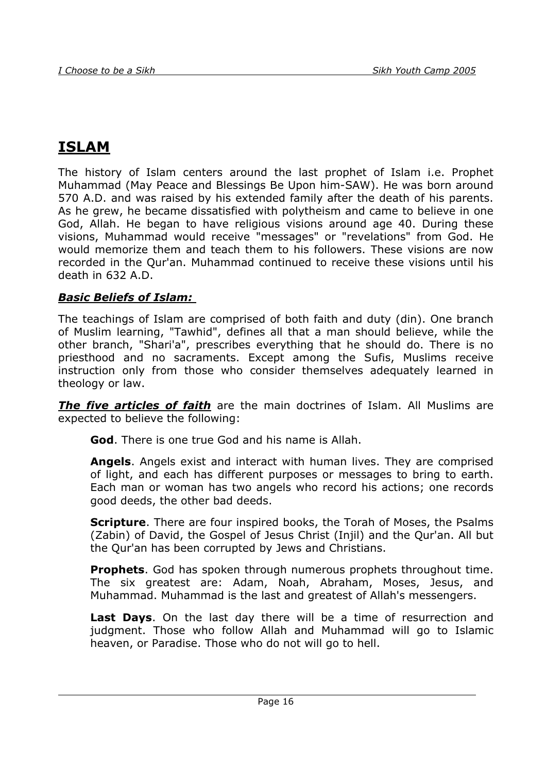### **ISLAM**

l

The history of Islam centers around the last prophet of Islam i.e. Prophet Muhammad (May Peace and Blessings Be Upon him-SAW). He was born around 570 A.D. and was raised by his extended family after the death of his parents. As he grew, he became dissatisfied with polytheism and came to believe in one God, Allah. He began to have religious visions around age 40. During these visions, Muhammad would receive "messages" or "revelations" from God. He would memorize them and teach them to his followers. These visions are now recorded in the Qur'an. Muhammad continued to receive these visions until his death in 632 A.D.

#### *Basic Beliefs of Islam:*

The teachings of Islam are comprised of both faith and duty (din). One branch of Muslim learning, "Tawhid", defines all that a man should believe, while the other branch, "Shari'a", prescribes everything that he should do. There is no priesthood and no sacraments. Except among the Sufis, Muslims receive instruction only from those who consider themselves adequately learned in theology or law.

*The five articles of faith* are the main doctrines of Islam. All Muslims are expected to believe the following:

**God**. There is one true God and his name is Allah.

**Angels**. Angels exist and interact with human lives. They are comprised of light, and each has different purposes or messages to bring to earth. Each man or woman has two angels who record his actions; one records good deeds, the other bad deeds.

**Scripture**. There are four inspired books, the Torah of Moses, the Psalms (Zabin) of David, the Gospel of Jesus Christ (Injil) and the Qur'an. All but the Qur'an has been corrupted by Jews and Christians.

**Prophets**. God has spoken through numerous prophets throughout time. The six greatest are: Adam, Noah, Abraham, Moses, Jesus, and Muhammad. Muhammad is the last and greatest of Allah's messengers.

Last Days. On the last day there will be a time of resurrection and judgment. Those who follow Allah and Muhammad will go to Islamic heaven, or Paradise. Those who do not will go to hell.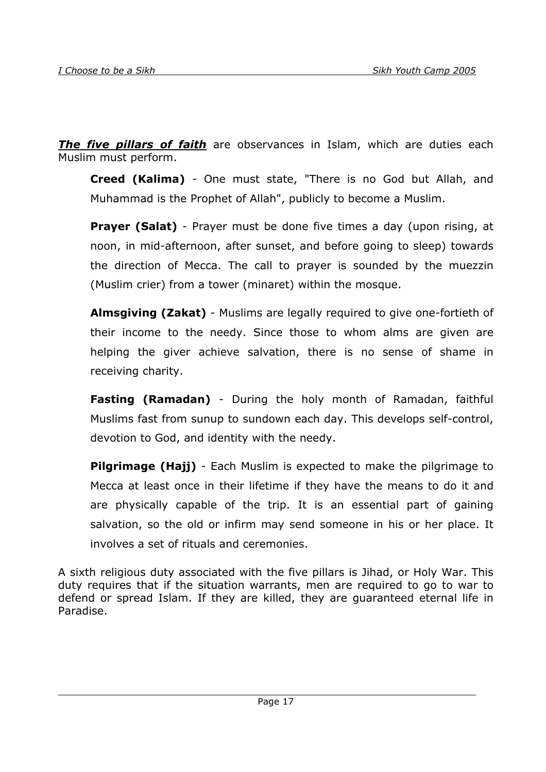*The five pillars of faith* are observances in Islam, which are duties each Muslim must perform.

**Creed (Kalima)** - One must state, "There is no God but Allah, and Muhammad is the Prophet of Allah", publicly to become a Muslim.

**Prayer (Salat)** - Prayer must be done five times a day (upon rising, at noon, in mid-afternoon, after sunset, and before going to sleep) towards the direction of Mecca. The call to prayer is sounded by the muezzin (Muslim crier) from a tower (minaret) within the mosque.

**Almsgiving (Zakat)** - Muslims are legally required to give one-fortieth of their income to the needy. Since those to whom alms are given are helping the giver achieve salvation, there is no sense of shame in receiving charity.

**Fasting (Ramadan)** - During the holy month of Ramadan, faithful Muslims fast from sunup to sundown each day. This develops self-control, devotion to God, and identity with the needy.

**Pilgrimage (Hajj)** - Each Muslim is expected to make the pilgrimage to Mecca at least once in their lifetime if they have the means to do it and are physically capable of the trip. It is an essential part of gaining salvation, so the old or infirm may send someone in his or her place. It involves a set of rituals and ceremonies.

A sixth religious duty associated with the five pillars is Jihad, or Holy War. This duty requires that if the situation warrants, men are required to go to war to defend or spread Islam. If they are killed, they are guaranteed eternal life in Paradise.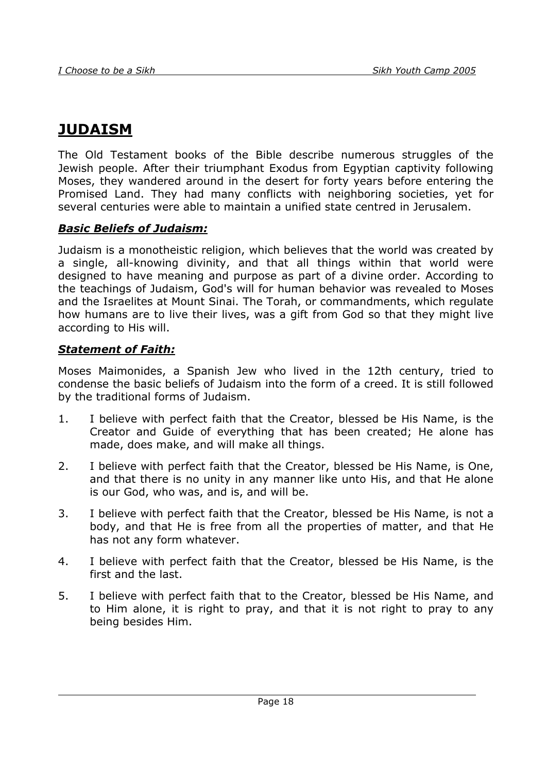### **JUDAISM**

The Old Testament books of the Bible describe numerous struggles of the Jewish people. After their triumphant Exodus from Egyptian captivity following Moses, they wandered around in the desert for forty years before entering the Promised Land. They had many conflicts with neighboring societies, yet for several centuries were able to maintain a unified state centred in Jerusalem.

#### *Basic Beliefs of Judaism:*

Judaism is a monotheistic religion, which believes that the world was created by a single, all-knowing divinity, and that all things within that world were designed to have meaning and purpose as part of a divine order. According to the teachings of Judaism, God's will for human behavior was revealed to Moses and the Israelites at Mount Sinai. The Torah, or commandments, which regulate how humans are to live their lives, was a gift from God so that they might live according to His will.

#### *Statement of Faith:*

l

Moses Maimonides, a Spanish Jew who lived in the 12th century, tried to condense the basic beliefs of Judaism into the form of a creed. It is still followed by the traditional forms of Judaism.

- 1. I believe with perfect faith that the Creator, blessed be His Name, is the Creator and Guide of everything that has been created; He alone has made, does make, and will make all things.
- 2. I believe with perfect faith that the Creator, blessed be His Name, is One, and that there is no unity in any manner like unto His, and that He alone is our God, who was, and is, and will be.
- 3. I believe with perfect faith that the Creator, blessed be His Name, is not a body, and that He is free from all the properties of matter, and that He has not any form whatever.
- 4. I believe with perfect faith that the Creator, blessed be His Name, is the first and the last.
- 5. I believe with perfect faith that to the Creator, blessed be His Name, and to Him alone, it is right to pray, and that it is not right to pray to any being besides Him.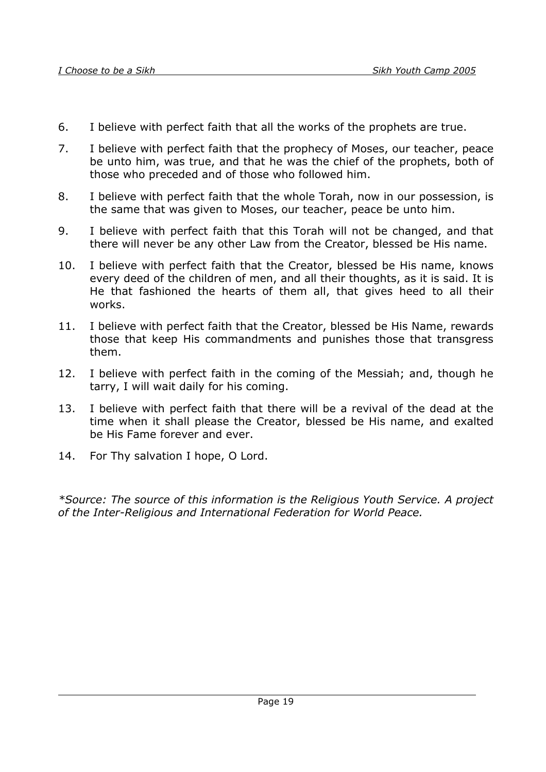- 6. I believe with perfect faith that all the works of the prophets are true.
- 7. I believe with perfect faith that the prophecy of Moses, our teacher, peace be unto him, was true, and that he was the chief of the prophets, both of those who preceded and of those who followed him.
- 8. I believe with perfect faith that the whole Torah, now in our possession, is the same that was given to Moses, our teacher, peace be unto him.
- 9. I believe with perfect faith that this Torah will not be changed, and that there will never be any other Law from the Creator, blessed be His name.
- 10. I believe with perfect faith that the Creator, blessed be His name, knows every deed of the children of men, and all their thoughts, as it is said. It is He that fashioned the hearts of them all, that gives heed to all their works.
- 11. I believe with perfect faith that the Creator, blessed be His Name, rewards those that keep His commandments and punishes those that transgress them.
- 12. I believe with perfect faith in the coming of the Messiah; and, though he tarry, I will wait daily for his coming.
- 13. I believe with perfect faith that there will be a revival of the dead at the time when it shall please the Creator, blessed be His name, and exalted be His Fame forever and ever.
- 14. For Thy salvation I hope, O Lord.

*\*Source: The source of this information is the Religious Youth Service. A project of the Inter-Religious and International Federation for World Peace.*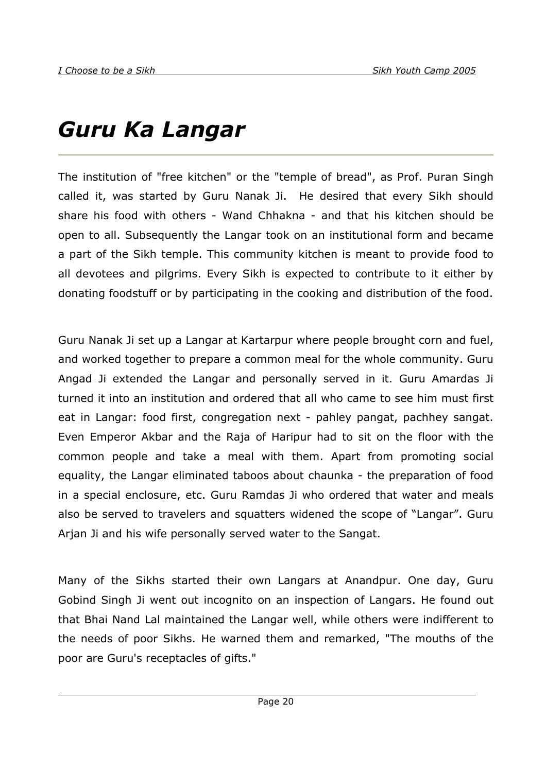## *Guru Ka Langar*

The institution of "free kitchen" or the "temple of bread", as Prof. Puran Singh called it, was started by Guru Nanak Ji. He desired that every Sikh should share his food with others - Wand Chhakna - and that his kitchen should be open to all. Subsequently the Langar took on an institutional form and became a part of the Sikh temple. This community kitchen is meant to provide food to all devotees and pilgrims. Every Sikh is expected to contribute to it either by donating foodstuff or by participating in the cooking and distribution of the food.

Guru Nanak Ji set up a Langar at Kartarpur where people brought corn and fuel, and worked together to prepare a common meal for the whole community. Guru Angad Ji extended the Langar and personally served in it. Guru Amardas Ji turned it into an institution and ordered that all who came to see him must first eat in Langar: food first, congregation next - pahley pangat, pachhey sangat. Even Emperor Akbar and the Raja of Haripur had to sit on the floor with the common people and take a meal with them. Apart from promoting social equality, the Langar eliminated taboos about chaunka - the preparation of food in a special enclosure, etc. Guru Ramdas Ji who ordered that water and meals also be served to travelers and squatters widened the scope of "Langar". Guru Arjan Ji and his wife personally served water to the Sangat.

Many of the Sikhs started their own Langars at Anandpur. One day, Guru Gobind Singh Ji went out incognito on an inspection of Langars. He found out that Bhai Nand Lal maintained the Langar well, while others were indifferent to the needs of poor Sikhs. He warned them and remarked, "The mouths of the poor are Guru's receptacles of gifts."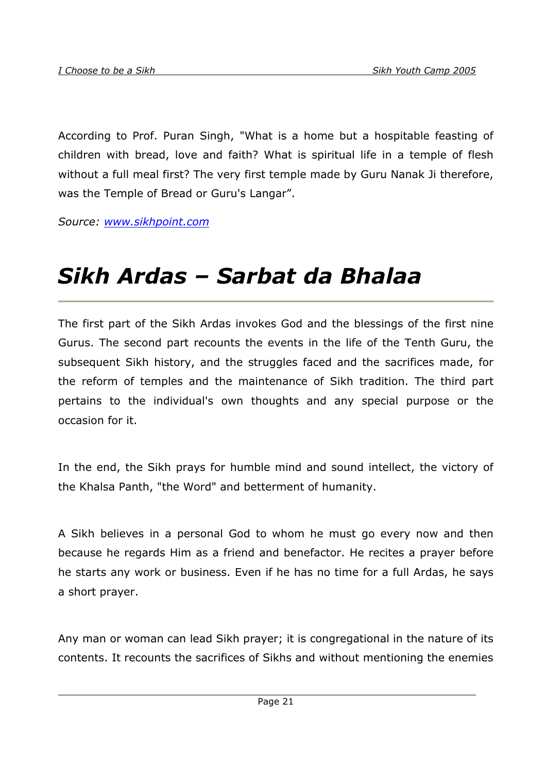According to Prof. Puran Singh, "What is a home but a hospitable feasting of children with bread, love and faith? What is spiritual life in a temple of flesh without a full meal first? The very first temple made by Guru Nanak Ji therefore, was the Temple of Bread or Guru's Langar".

*Source: www.sikhpoint.com* 

l

## *Sikh Ardas – Sarbat da Bhalaa*

The first part of the Sikh Ardas invokes God and the blessings of the first nine Gurus. The second part recounts the events in the life of the Tenth Guru, the subsequent Sikh history, and the struggles faced and the sacrifices made, for the reform of temples and the maintenance of Sikh tradition. The third part pertains to the individual's own thoughts and any special purpose or the occasion for it.

In the end, the Sikh prays for humble mind and sound intellect, the victory of the Khalsa Panth, "the Word" and betterment of humanity.

A Sikh believes in a personal God to whom he must go every now and then because he regards Him as a friend and benefactor. He recites a prayer before he starts any work or business. Even if he has no time for a full Ardas, he says a short prayer.

Any man or woman can lead Sikh prayer; it is congregational in the nature of its contents. It recounts the sacrifices of Sikhs and without mentioning the enemies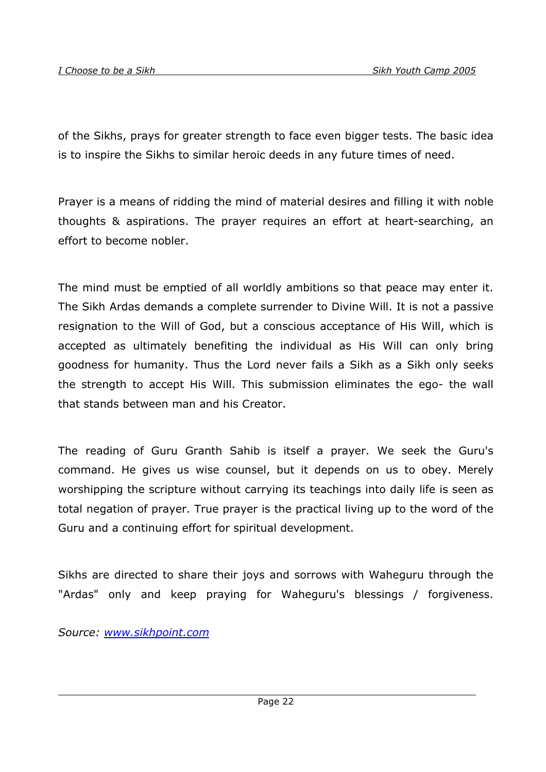of the Sikhs, prays for greater strength to face even bigger tests. The basic idea is to inspire the Sikhs to similar heroic deeds in any future times of need.

Prayer is a means of ridding the mind of material desires and filling it with noble thoughts & aspirations. The prayer requires an effort at heart-searching, an effort to become nobler.

The mind must be emptied of all worldly ambitions so that peace may enter it. The Sikh Ardas demands a complete surrender to Divine Will. It is not a passive resignation to the Will of God, but a conscious acceptance of His Will, which is accepted as ultimately benefiting the individual as His Will can only bring goodness for humanity. Thus the Lord never fails a Sikh as a Sikh only seeks the strength to accept His Will. This submission eliminates the ego- the wall that stands between man and his Creator.

The reading of Guru Granth Sahib is itself a prayer. We seek the Guru's command. He gives us wise counsel, but it depends on us to obey. Merely worshipping the scripture without carrying its teachings into daily life is seen as total negation of prayer. True prayer is the practical living up to the word of the Guru and a continuing effort for spiritual development.

Sikhs are directed to share their joys and sorrows with Waheguru through the "Ardas" only and keep praying for Waheguru's blessings / forgiveness.

*Source: www.sikhpoint.com*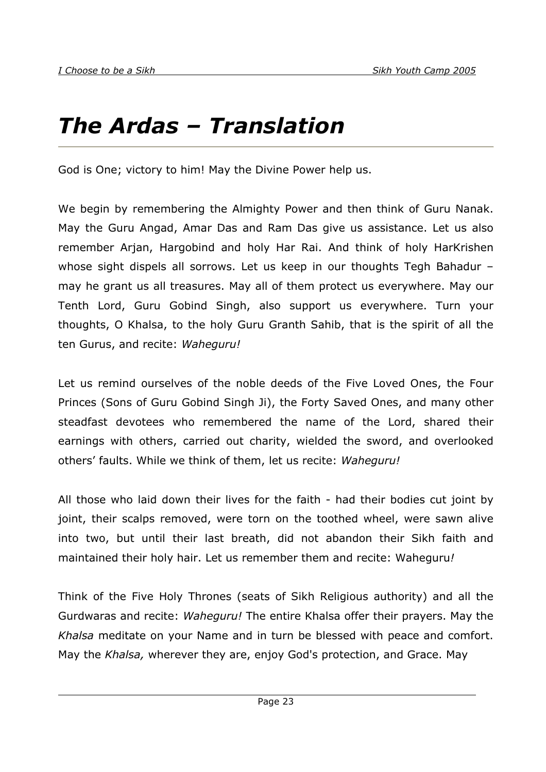## *The Ardas – Translation*

God is One; victory to him! May the Divine Power help us.

We begin by remembering the Almighty Power and then think of Guru Nanak. May the Guru Angad, Amar Das and Ram Das give us assistance. Let us also remember Arjan, Hargobind and holy Har Rai. And think of holy HarKrishen whose sight dispels all sorrows. Let us keep in our thoughts Tegh Bahadur may he grant us all treasures. May all of them protect us everywhere. May our Tenth Lord, Guru Gobind Singh, also support us everywhere. Turn your thoughts, O Khalsa, to the holy Guru Granth Sahib, that is the spirit of all the ten Gurus, and recite: *Waheguru!* 

Let us remind ourselves of the noble deeds of the Five Loved Ones, the Four Princes (Sons of Guru Gobind Singh Ji), the Forty Saved Ones, and many other steadfast devotees who remembered the name of the Lord, shared their earnings with others, carried out charity, wielded the sword, and overlooked others' faults. While we think of them, let us recite: *Waheguru!* 

All those who laid down their lives for the faith - had their bodies cut joint by joint, their scalps removed, were torn on the toothed wheel, were sawn alive into two, but until their last breath, did not abandon their Sikh faith and maintained their holy hair. Let us remember them and recite: Waheguru*!* 

Think of the Five Holy Thrones (seats of Sikh Religious authority) and all the Gurdwaras and recite: *Waheguru!* The entire Khalsa offer their prayers. May the *Khalsa* meditate on your Name and in turn be blessed with peace and comfort. May the *Khalsa,* wherever they are, enjoy God's protection, and Grace. May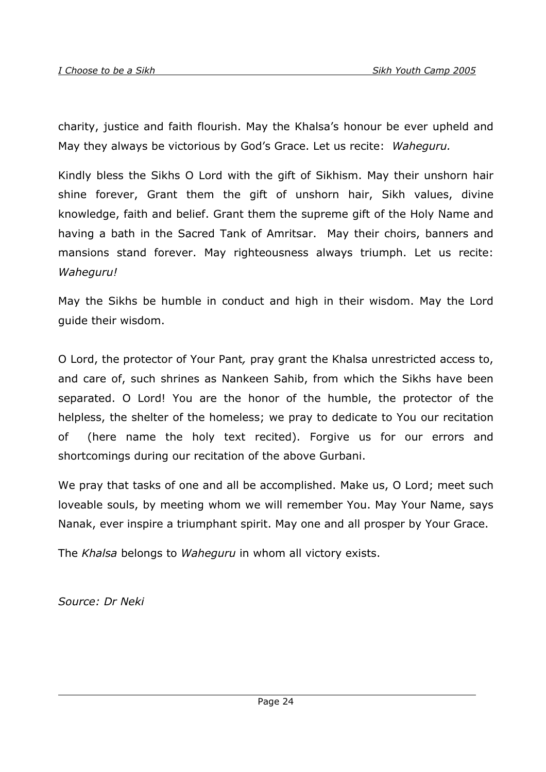charity, justice and faith flourish. May the Khalsa's honour be ever upheld and May they always be victorious by God's Grace. Let us recite: *Waheguru.* 

Kindly bless the Sikhs O Lord with the gift of Sikhism. May their unshorn hair shine forever, Grant them the gift of unshorn hair, Sikh values, divine knowledge, faith and belief. Grant them the supreme gift of the Holy Name and having a bath in the Sacred Tank of Amritsar. May their choirs, banners and mansions stand forever. May righteousness always triumph. Let us recite: *Waheguru!* 

May the Sikhs be humble in conduct and high in their wisdom. May the Lord guide their wisdom.

O Lord, the protector of Your Pant*,* pray grant the Khalsa unrestricted access to, and care of, such shrines as Nankeen Sahib, from which the Sikhs have been separated. O Lord! You are the honor of the humble, the protector of the helpless, the shelter of the homeless; we pray to dedicate to You our recitation of (here name the holy text recited). Forgive us for our errors and shortcomings during our recitation of the above Gurbani.

We pray that tasks of one and all be accomplished. Make us, O Lord; meet such loveable souls, by meeting whom we will remember You. May Your Name, says Nanak, ever inspire a triumphant spirit. May one and all prosper by Your Grace.

The *Khalsa* belongs to *Waheguru* in whom all victory exists.

*Source: Dr Neki*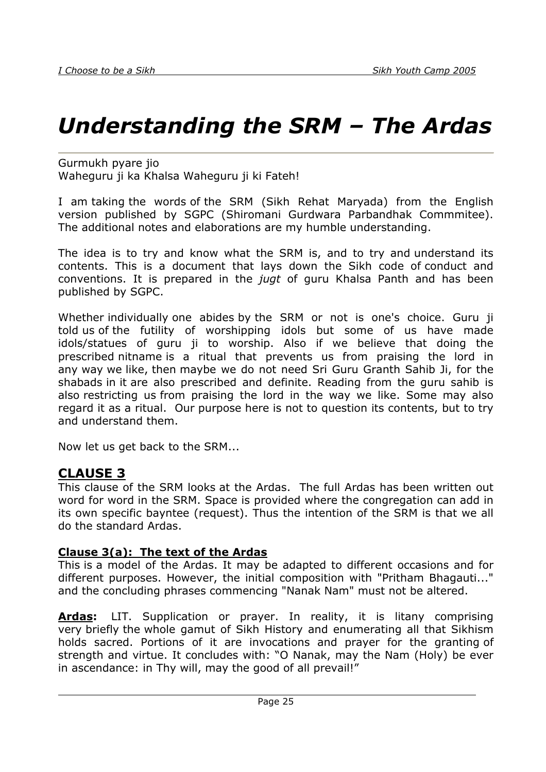## *Understanding the SRM – The Ardas*

Gurmukh pyare jio Waheguru ji ka Khalsa Waheguru ji ki Fateh!

I am taking the words of the SRM (Sikh Rehat Maryada) from the English version published by SGPC (Shiromani Gurdwara Parbandhak Commmitee). The additional notes and elaborations are my humble understanding.

The idea is to try and know what the SRM is, and to try and understand its contents. This is a document that lays down the Sikh code of conduct and conventions. It is prepared in the *jugt* of guru Khalsa Panth and has been published by SGPC.

Whether individually one abides by the SRM or not is one's choice. Guru ji told us of the futility of worshipping idols but some of us have made idols/statues of guru ji to worship. Also if we believe that doing the prescribed nitname is a ritual that prevents us from praising the lord in any way we like, then maybe we do not need Sri Guru Granth Sahib Ji, for the shabads in it are also prescribed and definite. Reading from the guru sahib is also restricting us from praising the lord in the way we like. Some may also regard it as a ritual. Our purpose here is not to question its contents, but to try and understand them.

Now let us get back to the SRM...

#### **CLAUSE 3**

l

This clause of the SRM looks at the Ardas. The full Ardas has been written out word for word in the SRM. Space is provided where the congregation can add in its own specific bayntee (request). Thus the intention of the SRM is that we all do the standard Ardas.

#### **Clause 3(a): The text of the Ardas**

This is a model of the Ardas. It may be adapted to different occasions and for different purposes. However, the initial composition with "Pritham Bhagauti..." and the concluding phrases commencing "Nanak Nam" must not be altered.

**Ardas:** LIT. Supplication or prayer. In reality, it is litany comprising very briefly the whole gamut of Sikh History and enumerating all that Sikhism holds sacred. Portions of it are invocations and prayer for the granting of strength and virtue. It concludes with: "O Nanak, may the Nam (Holy) be ever in ascendance: in Thy will, may the good of all prevail!"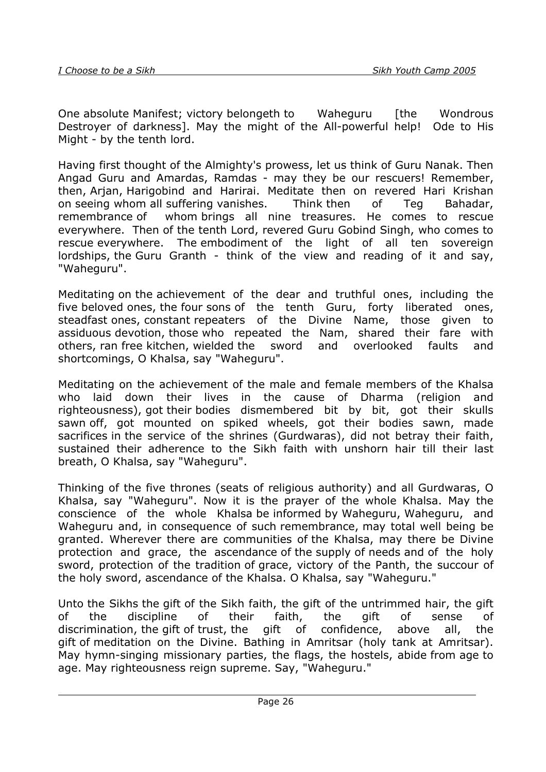One absolute Manifest; victory belongeth to Waheguru [the Wondrous Destroyer of darkness]. May the might of the All-powerful help! Ode to His Might - by the tenth lord.

Having first thought of the Almighty's prowess, let us think of Guru Nanak. Then Angad Guru and Amardas, Ramdas - may they be our rescuers! Remember, then, Arjan, Harigobind and Harirai. Meditate then on revered Hari Krishan on seeing whom all suffering vanishes. Think then of Teg Bahadar, remembrance of whom brings all nine treasures. He comes to rescue everywhere. Then of the tenth Lord, revered Guru Gobind Singh, who comes to rescue everywhere. The embodiment of the light of all ten sovereign lordships, the Guru Granth - think of the view and reading of it and say, "Waheguru".

Meditating on the achievement of the dear and truthful ones, including the five beloved ones, the four sons of the tenth Guru, forty liberated ones, steadfast ones, constant repeaters of the Divine Name, those given to assiduous devotion, those who repeated the Nam, shared their fare with others, ran free kitchen, wielded the sword and overlooked faults and shortcomings, O Khalsa, say "Waheguru".

Meditating on the achievement of the male and female members of the Khalsa who laid down their lives in the cause of Dharma (religion and righteousness), got their bodies dismembered bit by bit, got their skulls sawn off, got mounted on spiked wheels, got their bodies sawn, made sacrifices in the service of the shrines (Gurdwaras), did not betray their faith, sustained their adherence to the Sikh faith with unshorn hair till their last breath, O Khalsa, say "Waheguru".

Thinking of the five thrones (seats of religious authority) and all Gurdwaras, O Khalsa, say "Waheguru". Now it is the prayer of the whole Khalsa. May the conscience of the whole Khalsa be informed by Waheguru, Waheguru, and Waheguru and, in consequence of such remembrance, may total well being be granted. Wherever there are communities of the Khalsa, may there be Divine protection and grace, the ascendance of the supply of needs and of the holy sword, protection of the tradition of grace, victory of the Panth, the succour of the holy sword, ascendance of the Khalsa. O Khalsa, say "Waheguru."

Unto the Sikhs the gift of the Sikh faith, the gift of the untrimmed hair, the gift of the discipline of their faith, the gift of sense of discrimination, the gift of trust, the gift of confidence, above all, the gift of meditation on the Divine. Bathing in Amritsar (holy tank at Amritsar). May hymn-singing missionary parties, the flags, the hostels, abide from age to age. May righteousness reign supreme. Say, "Waheguru."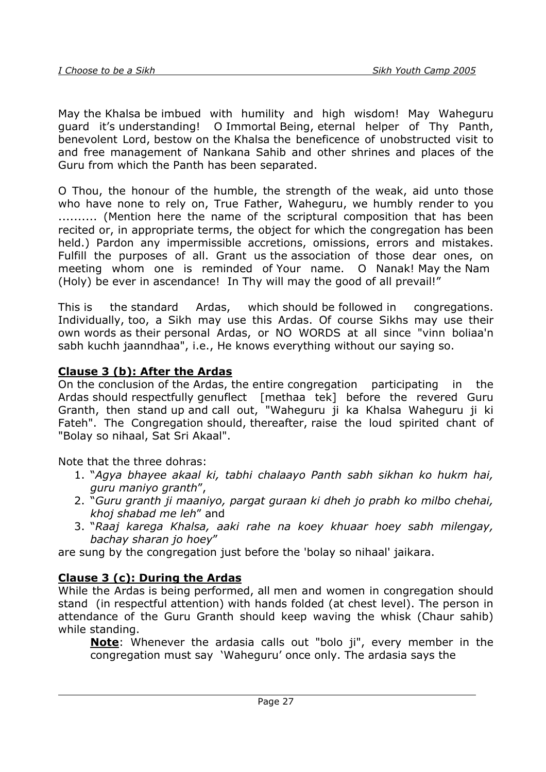May the Khalsa be imbued with humility and high wisdom! May Waheguru guard it's understanding! O Immortal Being, eternal helper of Thy Panth, benevolent Lord, bestow on the Khalsa the beneficence of unobstructed visit to and free management of Nankana Sahib and other shrines and places of the Guru from which the Panth has been separated.

O Thou, the honour of the humble, the strength of the weak, aid unto those who have none to rely on, True Father, Waheguru, we humbly render to you .......... (Mention here the name of the scriptural composition that has been recited or, in appropriate terms, the object for which the congregation has been held.) Pardon any impermissible accretions, omissions, errors and mistakes. Fulfill the purposes of all. Grant us the association of those dear ones, on meeting whom one is reminded of Your name. O Nanak! May the Nam (Holy) be ever in ascendance! In Thy will may the good of all prevail!"

This is the standard Ardas, which should be followed in congregations. Individually, too, a Sikh may use this Ardas. Of course Sikhs may use their own words as their personal Ardas, or NO WORDS at all since "vinn boliaa'n sabh kuchh jaanndhaa", i.e., He knows everything without our saying so.

#### **Clause 3 (b): After the Ardas**

On the conclusion of the Ardas, the entire congregation participating in the Ardas should respectfully genuflect [methaa tek] before the revered Guru Granth, then stand up and call out, "Waheguru ji ka Khalsa Waheguru ji ki Fateh". The Congregation should, thereafter, raise the loud spirited chant of "Bolay so nihaal, Sat Sri Akaal".

Note that the three dohras:

- 1. "*Agya bhayee akaal ki, tabhi chalaayo Panth sabh sikhan ko hukm hai, guru maniyo granth*",
- 2. "*Guru granth ji maaniyo, pargat guraan ki dheh jo prabh ko milbo chehai, khoj shabad me leh*" and
- 3. "*Raaj karega Khalsa, aaki rahe na koey khuaar hoey sabh milengay, bachay sharan jo hoey*"

are sung by the congregation just before the 'bolay so nihaal' jaikara.

#### **Clause 3 (c): During the Ardas**

l

While the Ardas is being performed, all men and women in congregation should stand (in respectful attention) with hands folded (at chest level). The person in attendance of the Guru Granth should keep waving the whisk (Chaur sahib) while standing.

**Note**: Whenever the ardasia calls out "bolo ji", every member in the congregation must say 'Waheguru' once only. The ardasia says the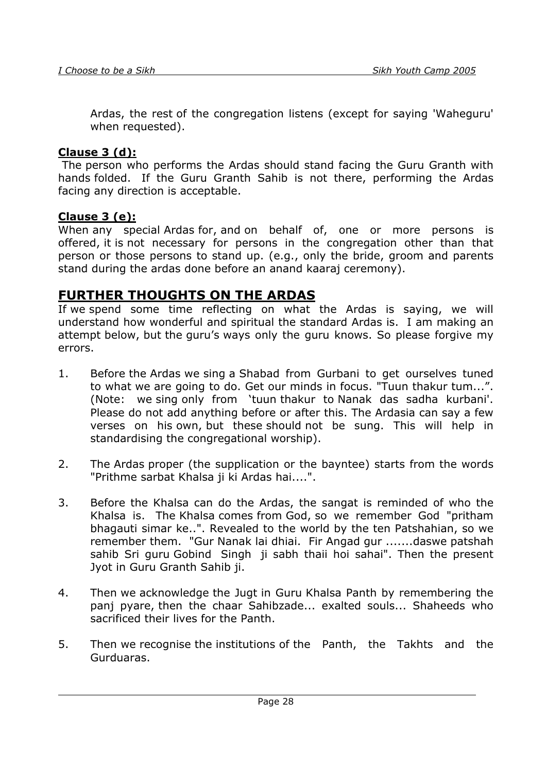Ardas, the rest of the congregation listens (except for saying 'Waheguru' when requested).

#### **Clause 3 (d):**

 The person who performs the Ardas should stand facing the Guru Granth with hands folded. If the Guru Granth Sahib is not there, performing the Ardas facing any direction is acceptable.

#### **Clause 3 (e):**

l

When any special Ardas for, and on behalf of, one or more persons is offered, it is not necessary for persons in the congregation other than that person or those persons to stand up. (e.g., only the bride, groom and parents stand during the ardas done before an anand kaaraj ceremony).

#### **FURTHER THOUGHTS ON THE ARDAS**

If we spend some time reflecting on what the Ardas is saying, we will understand how wonderful and spiritual the standard Ardas is. I am making an attempt below, but the guru's ways only the guru knows. So please forgive my errors.

- 1. Before the Ardas we sing a Shabad from Gurbani to get ourselves tuned to what we are going to do. Get our minds in focus. "Tuun thakur tum...". (Note: we sing only from 'tuun thakur to Nanak das sadha kurbani'. Please do not add anything before or after this. The Ardasia can say a few verses on his own, but these should not be sung. This will help in standardising the congregational worship).
- 2. The Ardas proper (the supplication or the bayntee) starts from the words "Prithme sarbat Khalsa ji ki Ardas hai....".
- 3. Before the Khalsa can do the Ardas, the sangat is reminded of who the Khalsa is. The Khalsa comes from God, so we remember God "pritham bhagauti simar ke..". Revealed to the world by the ten Patshahian, so we remember them. "Gur Nanak lai dhiai. Fir Angad gur .......daswe patshah sahib Sri guru Gobind Singh ji sabh thaii hoi sahai". Then the present Jyot in Guru Granth Sahib ji.
- 4. Then we acknowledge the Jugt in Guru Khalsa Panth by remembering the panj pyare, then the chaar Sahibzade... exalted souls... Shaheeds who sacrificed their lives for the Panth.
- 5. Then we recognise the institutions of the Panth, the Takhts and the Gurduaras.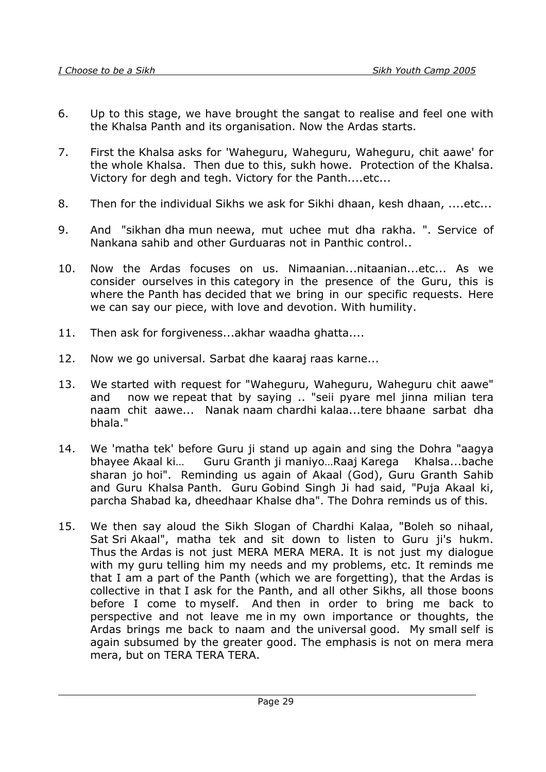- 6. Up to this stage, we have brought the sangat to realise and feel one with the Khalsa Panth and its organisation. Now the Ardas starts.
- 7. First the Khalsa asks for 'Waheguru, Waheguru, Waheguru, chit aawe' for the whole Khalsa. Then due to this, sukh howe. Protection of the Khalsa. Victory for degh and tegh. Victory for the Panth....etc...
- 8. Then for the individual Sikhs we ask for Sikhi dhaan, kesh dhaan, ....etc...
- 9. And "sikhan dha mun neewa, mut uchee mut dha rakha. ". Service of Nankana sahib and other Gurduaras not in Panthic control..
- 10. Now the Ardas focuses on us. Nimaanian...nitaanian...etc... As we consider ourselves in this category in the presence of the Guru, this is where the Panth has decided that we bring in our specific requests. Here we can say our piece, with love and devotion. With humility.
- 11. Then ask for forgiveness...akhar waadha ghatta....
- 12. Now we go universal. Sarbat dhe kaaraj raas karne...
- 13. We started with request for "Waheguru, Waheguru, Waheguru chit aawe" and now we repeat that by saying .. "seii pyare mel jinna milian tera naam chit aawe... Nanak naam chardhi kalaa...tere bhaane sarbat dha bhala."
- 14. We 'matha tek' before Guru ji stand up again and sing the Dohra "aagya bhayee Akaal ki… Guru Granth ji maniyo…Raaj Karega Khalsa...bache sharan jo hoi". Reminding us again of Akaal (God), Guru Granth Sahib and Guru Khalsa Panth. Guru Gobind Singh Ji had said, "Puja Akaal ki, parcha Shabad ka, dheedhaar Khalse dha". The Dohra reminds us of this.
- 15. We then say aloud the Sikh Slogan of Chardhi Kalaa, "Boleh so nihaal, Sat Sri Akaal", matha tek and sit down to listen to Guru ji's hukm. Thus the Ardas is not just MERA MERA MERA. It is not just my dialogue with my guru telling him my needs and my problems, etc. It reminds me that I am a part of the Panth (which we are forgetting), that the Ardas is collective in that I ask for the Panth, and all other Sikhs, all those boons before I come to myself. And then in order to bring me back to perspective and not leave me in my own importance or thoughts, the Ardas brings me back to naam and the universal good. My small self is again subsumed by the greater good. The emphasis is not on mera mera mera, but on TERA TERA TERA.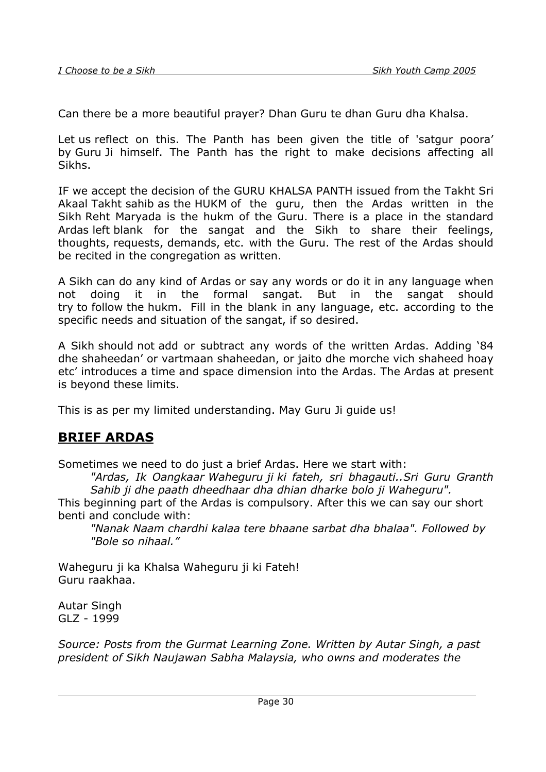Can there be a more beautiful prayer? Dhan Guru te dhan Guru dha Khalsa.

Let us reflect on this. The Panth has been given the title of 'satgur poora' by Guru Ji himself. The Panth has the right to make decisions affecting all Sikhs.

IF we accept the decision of the GURU KHALSA PANTH issued from the Takht Sri Akaal Takht sahib as the HUKM of the guru, then the Ardas written in the Sikh Reht Maryada is the hukm of the Guru. There is a place in the standard Ardas left blank for the sangat and the Sikh to share their feelings, thoughts, requests, demands, etc. with the Guru. The rest of the Ardas should be recited in the congregation as written.

A Sikh can do any kind of Ardas or say any words or do it in any language when not doing it in the formal sangat. But in the sangat should try to follow the hukm. Fill in the blank in any language, etc. according to the specific needs and situation of the sangat, if so desired.

A Sikh should not add or subtract any words of the written Ardas. Adding '84 dhe shaheedan' or vartmaan shaheedan, or jaito dhe morche vich shaheed hoay etc' introduces a time and space dimension into the Ardas. The Ardas at present is beyond these limits.

This is as per my limited understanding. May Guru Ji guide us!

#### **BRIEF ARDAS**

Sometimes we need to do just a brief Ardas. Here we start with:

*"Ardas, Ik Oangkaar Waheguru ji ki fateh, sri bhagauti..Sri Guru Granth Sahib ji dhe paath dheedhaar dha dhian dharke bolo ji Waheguru".* 

This beginning part of the Ardas is compulsory. After this we can say our short benti and conclude with:

*"Nanak Naam chardhi kalaa tere bhaane sarbat dha bhalaa". Followed by "Bole so nihaal."* 

Waheguru ji ka Khalsa Waheguru ji ki Fateh! Guru raakhaa.

Autar Singh GLZ - 1999

l

*Source: Posts from the Gurmat Learning Zone. Written by Autar Singh, a past president of Sikh Naujawan Sabha Malaysia, who owns and moderates the*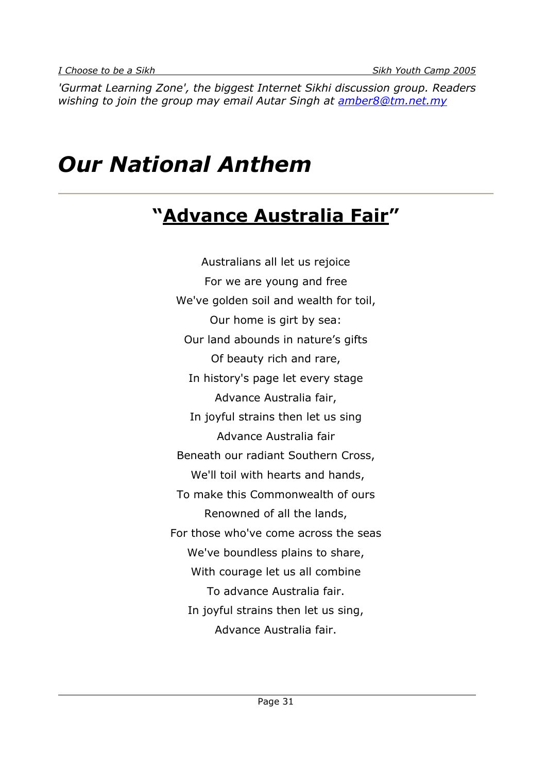*'Gurmat Learning Zone', the biggest Internet Sikhi discussion group. Readers wishing to join the group may email Autar Singh at amber8@tm.net.my*

## *Our National Anthem*

### **"Advance Australia Fair"**

Australians all let us rejoice For we are young and free We've golden soil and wealth for toil, Our home is girt by sea: Our land abounds in nature's gifts Of beauty rich and rare, In history's page let every stage Advance Australia fair, In joyful strains then let us sing Advance Australia fair Beneath our radiant Southern Cross, We'll toil with hearts and hands, To make this Commonwealth of ours Renowned of all the lands, For those who've come across the seas We've boundless plains to share, With courage let us all combine To advance Australia fair. In joyful strains then let us sing, Advance Australia fair.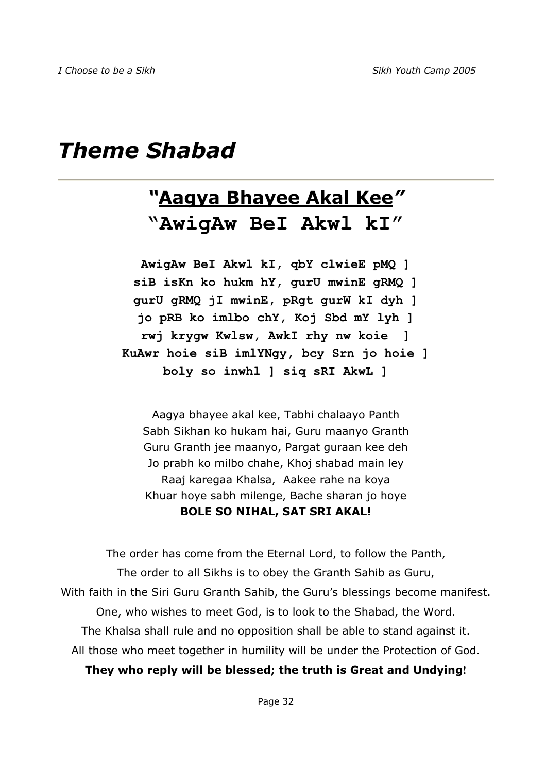### *Theme Shabad*

### *"***Aagya Bhayee Akal Kee***"*  **"AwigAw BeI Akwl kI"**

**AwigAw BeI Akwl kI, qbY clwieE pMQ ] siB isKn ko hukm hY, gurU mwinE gRMQ ] gurU gRMQ jI mwinE, pRgt gurW kI dyh ] jo pRB ko imlbo chY, Koj Sbd mY lyh ] rwj krygw Kwlsw, AwkI rhy nw koie ] KuAwr hoie siB imlYNgy, bcy Srn jo hoie ] boly so inwhl ] siq sRI AkwL ]** 

Aagya bhayee akal kee, Tabhi chalaayo Panth Sabh Sikhan ko hukam hai, Guru maanyo Granth Guru Granth jee maanyo, Pargat guraan kee deh Jo prabh ko milbo chahe, Khoj shabad main ley Raaj karegaa Khalsa, Aakee rahe na koya Khuar hoye sabh milenge, Bache sharan jo hoye **BOLE SO NIHAL, SAT SRI AKAL!**

The order has come from the Eternal Lord, to follow the Panth, The order to all Sikhs is to obey the Granth Sahib as Guru, With faith in the Siri Guru Granth Sahib, the Guru's blessings become manifest. One, who wishes to meet God, is to look to the Shabad, the Word. The Khalsa shall rule and no opposition shall be able to stand against it. All those who meet together in humility will be under the Protection of God.

**They who reply will be blessed; the truth is Great and Undying!**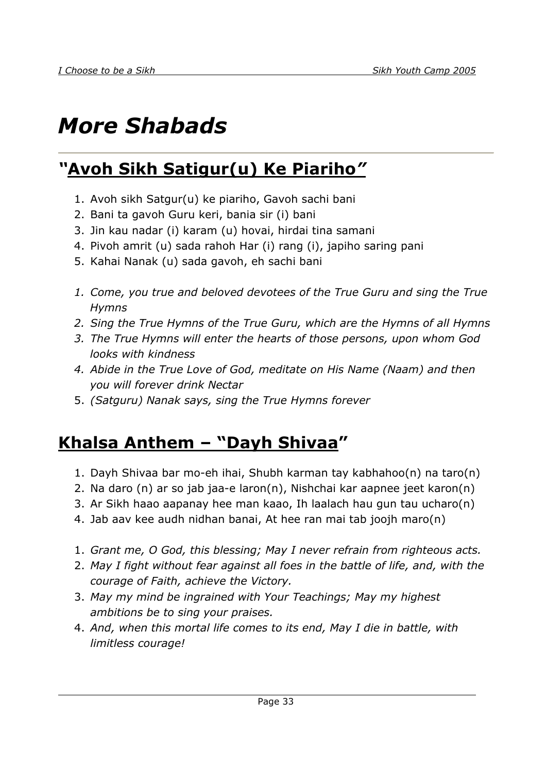# *More Shabads*

### *"***Avoh Sikh Satigur(u) Ke Piariho***"*

- 1. Avoh sikh Satgur(u) ke piariho, Gavoh sachi bani
- 2. Bani ta gavoh Guru keri, bania sir (i) bani
- 3. Jin kau nadar (i) karam (u) hovai, hirdai tina samani
- 4. Pivoh amrit (u) sada rahoh Har (i) rang (i), japiho saring pani
- 5. Kahai Nanak (u) sada gavoh, eh sachi bani
- *1. Come, you true and beloved devotees of the True Guru and sing the True Hymns*
- *2. Sing the True Hymns of the True Guru, which are the Hymns of all Hymns*
- *3. The True Hymns will enter the hearts of those persons, upon whom God looks with kindness*
- *4. Abide in the True Love of God, meditate on His Name (Naam) and then you will forever drink Nectar*
- 5. *(Satguru) Nanak says, sing the True Hymns forever*

### **Khalsa Anthem – "Dayh Shivaa"**

- 1. Dayh Shivaa bar mo-eh ihai, Shubh karman tay kabhahoo(n) na taro(n)
- 2. Na daro (n) ar so jab jaa-e laron(n), Nishchai kar aapnee jeet karon(n)
- 3. Ar Sikh haao aapanay hee man kaao, Ih laalach hau gun tau ucharo(n)
- 4. Jab aav kee audh nidhan banai, At hee ran mai tab joojh maro(n)
- 1. *Grant me, O God, this blessing; May I never refrain from righteous acts.*
- 2. *May I fight without fear against all foes in the battle of life, and, with the courage of Faith, achieve the Victory.*
- 3. *May my mind be ingrained with Your Teachings; May my highest ambitions be to sing your praises.*
- 4. *And, when this mortal life comes to its end, May I die in battle, with limitless courage!*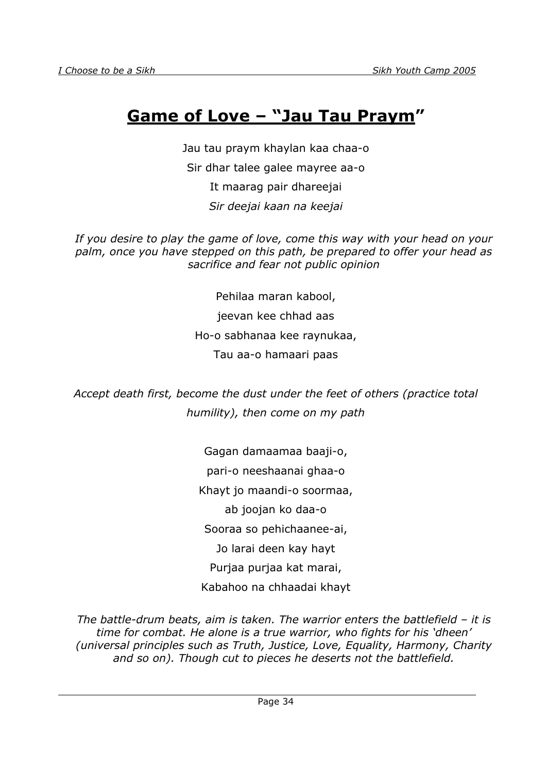### **Game of Love – "Jau Tau Praym"**

Jau tau praym khaylan kaa chaa-o Sir dhar talee galee mayree aa-o It maarag pair dhareejai *Sir deejai kaan na keejai* 

*If you desire to play the game of love, come this way with your head on your palm, once you have stepped on this path, be prepared to offer your head as sacrifice and fear not public opinion* 

Pehilaa maran kabool,

jeevan kee chhad aas

Ho-o sabhanaa kee raynukaa,

Tau aa-o hamaari paas

*Accept death first, become the dust under the feet of others (practice total humility), then come on my path* 

> Gagan damaamaa baaji-o, pari-o neeshaanai ghaa-o Khayt jo maandi-o soormaa, ab joojan ko daa-o Sooraa so pehichaanee-ai, Jo larai deen kay hayt Purjaa purjaa kat marai, Kabahoo na chhaadai khayt

*The battle-drum beats, aim is taken. The warrior enters the battlefield – it is time for combat. He alone is a true warrior, who fights for his 'dheen' (universal principles such as Truth, Justice, Love, Equality, Harmony, Charity and so on). Though cut to pieces he deserts not the battlefield.*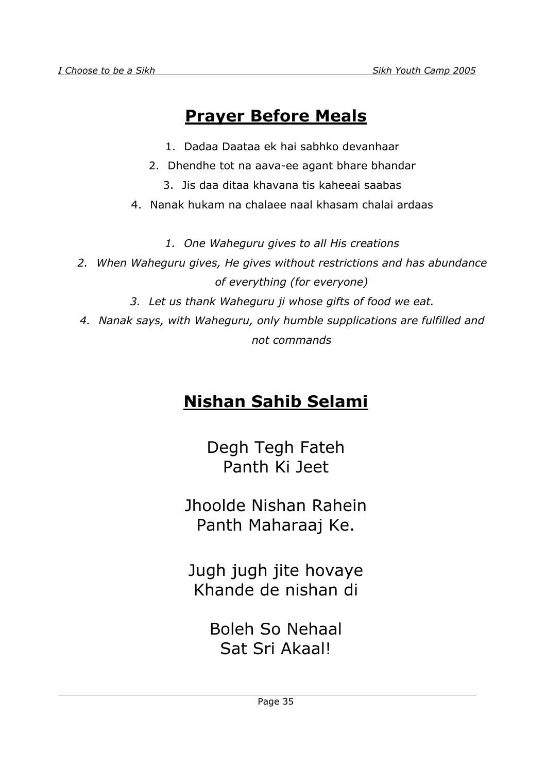### **Prayer Before Meals**

- 1. Dadaa Daataa ek hai sabhko devanhaar
- 2. Dhendhe tot na aava-ee agant bhare bhandar
	- 3. Jis daa ditaa khavana tis kaheeai saabas
- 4. Nanak hukam na chalaee naal khasam chalai ardaas

*1. One Waheguru gives to all His creations* 

- *2. When Waheguru gives, He gives without restrictions and has abundance of everything (for everyone)* 
	- *3. Let us thank Waheguru ji whose gifts of food we eat.*
- *4. Nanak says, with Waheguru, only humble supplications are fulfilled and not commands*

### **Nishan Sahib Selami**

Degh Tegh Fateh Panth Ki Jeet

Jhoolde Nishan Rahein Panth Maharaaj Ke.

Jugh jugh jite hovaye Khande de nishan di

> Boleh So Nehaal Sat Sri Akaal!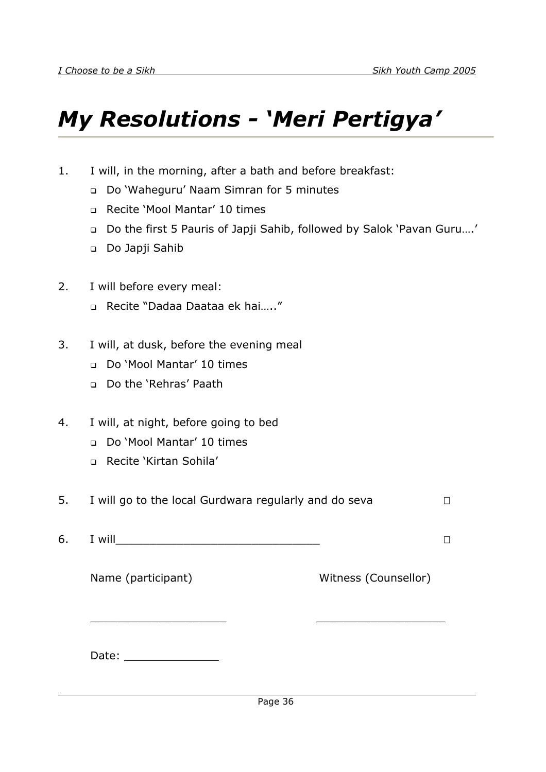# *My Resolutions - 'Meri Pertigya'*

- 1. I will, in the morning, after a bath and before breakfast:
	- Do 'Waheguru' Naam Simran for 5 minutes
	- Recite 'Mool Mantar' 10 times
	- Do the first 5 Pauris of Japji Sahib, followed by Salok 'Pavan Guru….'
	- Do Japji Sahib
- 2. I will before every meal:
	- Recite "Dadaa Daataa ek hai….."
- 3. I will, at dusk, before the evening meal
	- Do 'Mool Mantar' 10 times
	- Do the 'Rehras' Paath
- 4. I will, at night, before going to bed
	- Do 'Mool Mantar' 10 times
	- Recite 'Kirtan Sohila'

| 5. |                    | I will go to the local Gurdwara regularly and do seva |  |
|----|--------------------|-------------------------------------------------------|--|
| 6. | I will             |                                                       |  |
|    | Name (participant) | Witness (Counsellor)                                  |  |
|    | Date:              |                                                       |  |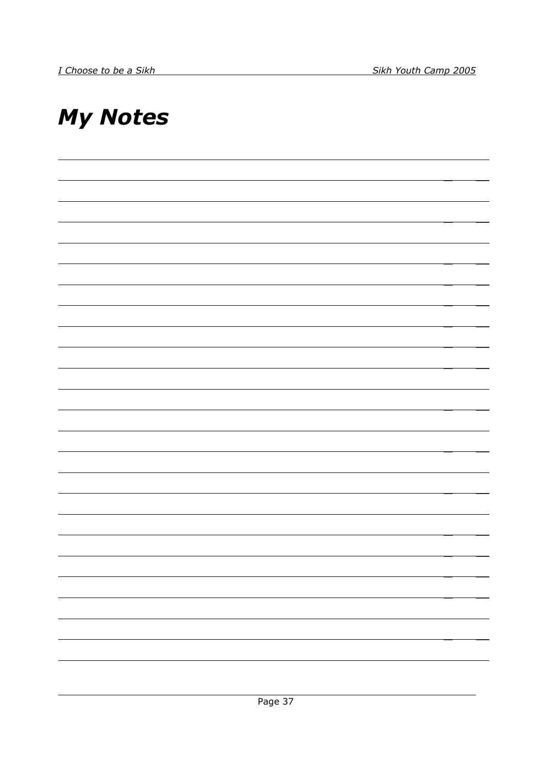## **My Notes**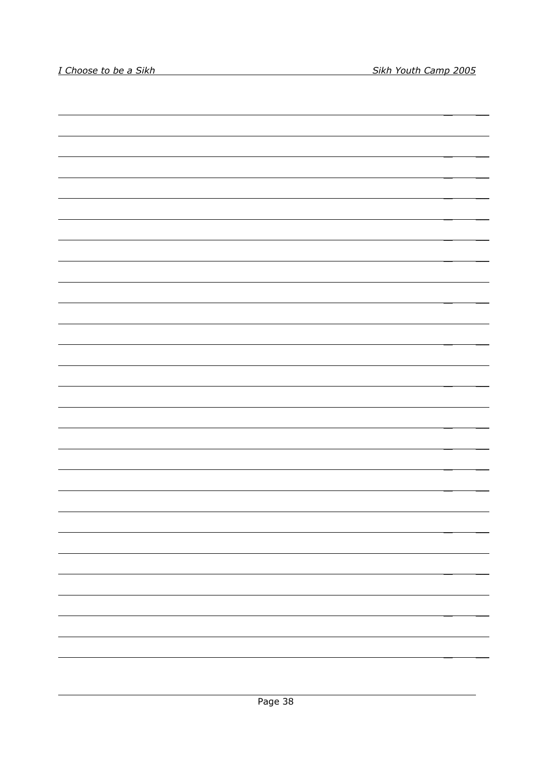| ۳ |
|---|
|   |
|   |
|   |
|   |
|   |
|   |
|   |
|   |
|   |